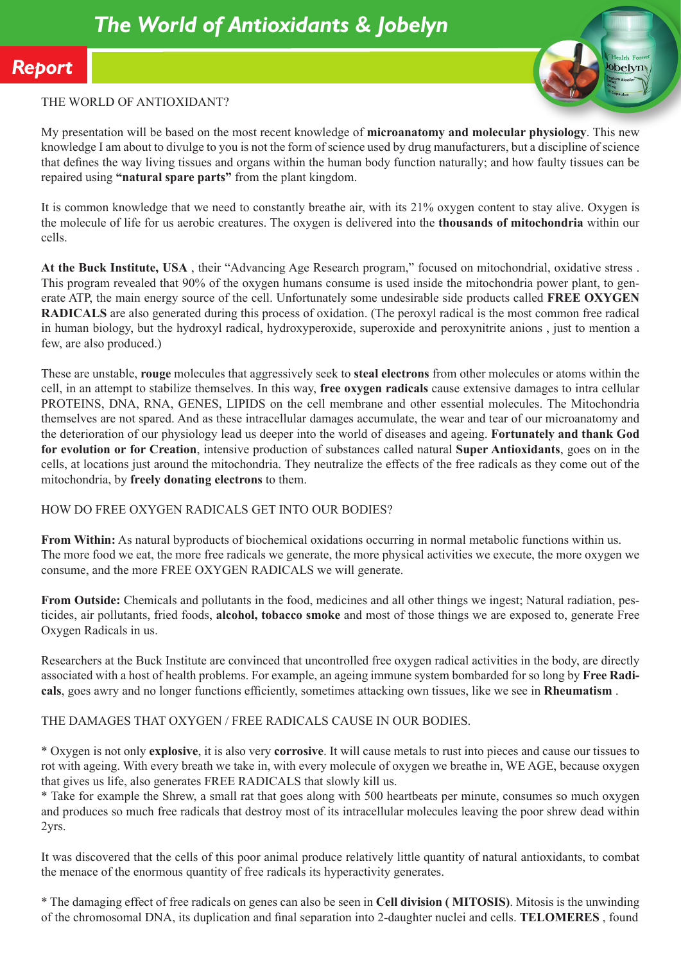

## THE WORLD OF ANTIOXIDANT?

My presentation will be based on the most recent knowledge of **microanatomy and molecular physiology**. This new knowledge I am about to divulge to you is not the form of science used by drug manufacturers, but a discipline of science that defines the way living tissues and organs within the human body function naturally; and how faulty tissues can be repaired using **"natural spare parts"** from the plant kingdom.

It is common knowledge that we need to constantly breathe air, with its 21% oxygen content to stay alive. Oxygen is the molecule of life for us aerobic creatures. The oxygen is delivered into the **thousands of mitochondria** within our cells.

**At the Buck Institute, USA** , their "Advancing Age Research program," focused on mitochondrial, oxidative stress . This program revealed that 90% of the oxygen humans consume is used inside the mitochondria power plant, to generate ATP, the main energy source of the cell. Unfortunately some undesirable side products called **FREE OXYGEN RADICALS** are also generated during this process of oxidation. (The peroxyl radical is the most common free radical in human biology, but the hydroxyl radical, hydroxyperoxide, superoxide and peroxynitrite anions , just to mention a few, are also produced.)

These are unstable, **rouge** molecules that aggressively seek to **steal electrons** from other molecules or atoms within the cell, in an attempt to stabilize themselves. In this way, **free oxygen radicals** cause extensive damages to intra cellular PROTEINS, DNA, RNA, GENES, LIPIDS on the cell membrane and other essential molecules. The Mitochondria themselves are not spared. And as these intracellular damages accumulate, the wear and tear of our microanatomy and the deterioration of our physiology lead us deeper into the world of diseases and ageing. **Fortunately and thank God for evolution or for Creation**, intensive production of substances called natural **Super Antioxidants**, goes on in the cells, at locations just around the mitochondria. They neutralize the effects of the free radicals as they come out of the mitochondria, by **freely donating electrons** to them.

#### HOW DO FREE OXYGEN RADICALS GET INTO OUR BODIES?

**From Within:** As natural byproducts of biochemical oxidations occurring in normal metabolic functions within us. The more food we eat, the more free radicals we generate, the more physical activities we execute, the more oxygen we consume, and the more FREE OXYGEN RADICALS we will generate.

**From Outside:** Chemicals and pollutants in the food, medicines and all other things we ingest; Natural radiation, pesticides, air pollutants, fried foods, **alcohol, tobacco smoke** and most of those things we are exposed to, generate Free Oxygen Radicals in us.

Researchers at the Buck Institute are convinced that uncontrolled free oxygen radical activities in the body, are directly associated with a host of health problems. For example, an ageing immune system bombarded for so long by **Free Radicals**, goes awry and no longer functions efficiently, sometimes attacking own tissues, like we see in **Rheumatism** .

## THE DAMAGES THAT OXYGEN / FREE RADICALS CAUSE IN OUR BODIES.

\* Oxygen is not only **explosive**, it is also very **corrosive**. It will cause metals to rust into pieces and cause our tissues to rot with ageing. With every breath we take in, with every molecule of oxygen we breathe in, WE AGE, because oxygen that gives us life, also generates FREE RADICALS that slowly kill us.

\* Take for example the Shrew, a small rat that goes along with 500 heartbeats per minute, consumes so much oxygen and produces so much free radicals that destroy most of its intracellular molecules leaving the poor shrew dead within 2yrs.

It was discovered that the cells of this poor animal produce relatively little quantity of natural antioxidants, to combat the menace of the enormous quantity of free radicals its hyperactivity generates.

\* The damaging effect of free radicals on genes can also be seen in **Cell division ( MITOSIS)**. Mitosis is the unwinding of the chromosomal DNA, its duplication and final separation into 2-daughter nuclei and cells. **TELOMERES** , found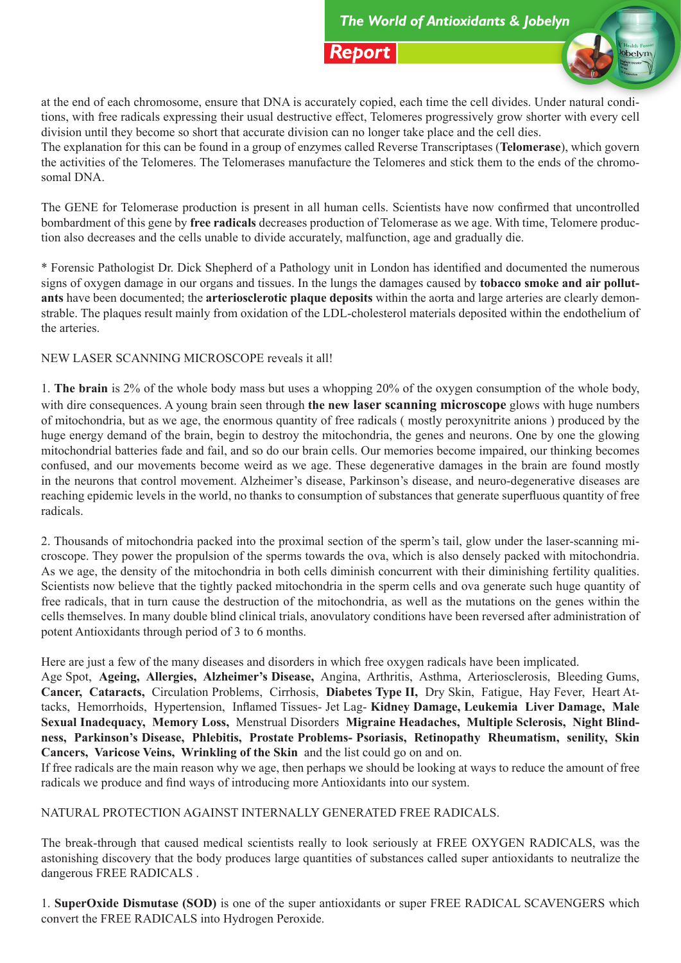

at the end of each chromosome, ensure that DNA is accurately copied, each time the cell divides. Under natural conditions, with free radicals expressing their usual destructive effect, Telomeres progressively grow shorter with every cell division until they become so short that accurate division can no longer take place and the cell dies.

The explanation for this can be found in a group of enzymes called Reverse Transcriptases (**Telomerase**), which govern the activities of the Telomeres. The Telomerases manufacture the Telomeres and stick them to the ends of the chromosomal DNA.

The GENE for Telomerase production is present in all human cells. Scientists have now confirmed that uncontrolled bombardment of this gene by **free radicals** decreases production of Telomerase as we age. With time, Telomere production also decreases and the cells unable to divide accurately, malfunction, age and gradually die.

\* Forensic Pathologist Dr. Dick Shepherd of a Pathology unit in London has identified and documented the numerous signs of oxygen damage in our organs and tissues. In the lungs the damages caused by **tobacco smoke and air pollutants** have been documented; the **arteriosclerotic plaque deposits** within the aorta and large arteries are clearly demonstrable. The plaques result mainly from oxidation of the LDL-cholesterol materials deposited within the endothelium of the arteries.

NEW LASER SCANNING MICROSCOPE reveals it all!

1. **The brain** is 2% of the whole body mass but uses a whopping 20% of the oxygen consumption of the whole body, with dire consequences. A young brain seen through **the new laser scanning microscope** glows with huge numbers of mitochondria, but as we age, the enormous quantity of free radicals ( mostly peroxynitrite anions ) produced by the huge energy demand of the brain, begin to destroy the mitochondria, the genes and neurons. One by one the glowing mitochondrial batteries fade and fail, and so do our brain cells. Our memories become impaired, our thinking becomes confused, and our movements become weird as we age. These degenerative damages in the brain are found mostly in the neurons that control movement. Alzheimer's disease, Parkinson's disease, and neuro-degenerative diseases are reaching epidemic levels in the world, no thanks to consumption of substances that generate superfluous quantity of free radicals.

2. Thousands of mitochondria packed into the proximal section of the sperm's tail, glow under the laser-scanning microscope. They power the propulsion of the sperms towards the ova, which is also densely packed with mitochondria. As we age, the density of the mitochondria in both cells diminish concurrent with their diminishing fertility qualities. Scientists now believe that the tightly packed mitochondria in the sperm cells and ova generate such huge quantity of free radicals, that in turn cause the destruction of the mitochondria, as well as the mutations on the genes within the cells themselves. In many double blind clinical trials, anovulatory conditions have been reversed after administration of potent Antioxidants through period of 3 to 6 months.

Here are just a few of the many diseases and disorders in which free oxygen radicals have been implicated.

Age Spot, **Ageing, Allergies, Alzheimer's Disease,** Angina, Arthritis, Asthma, Arteriosclerosis, Bleeding Gums, **Cancer, Cataracts,** Circulation Problems, Cirrhosis, **Diabetes Type II,** Dry Skin, Fatigue, Hay Fever, Heart Attacks, Hemorrhoids, Hypertension, Inflamed Tissues- Jet Lag- **Kidney Damage, Leukemia Liver Damage, Male Sexual Inadequacy, Memory Loss,** Menstrual Disorders **Migraine Headaches, Multiple Sclerosis, Night Blindness, Parkinson's Disease, Phlebitis, Prostate Problems- Psoriasis, Retinopathy Rheumatism, senility, Skin Cancers, Varicose Veins, Wrinkling of the Skin** and the list could go on and on.

If free radicals are the main reason why we age, then perhaps we should be looking at ways to reduce the amount of free radicals we produce and find ways of introducing more Antioxidants into our system.

NATURAL PROTECTION AGAINST INTERNALLY GENERATED FREE RADICALS.

The break-through that caused medical scientists really to look seriously at FREE OXYGEN RADICALS, was the astonishing discovery that the body produces large quantities of substances called super antioxidants to neutralize the dangerous FREE RADICALS .

1. **SuperOxide Dismutase (SOD)** is one of the super antioxidants or super FREE RADICAL SCAVENGERS which convert the FREE RADICALS into Hydrogen Peroxide.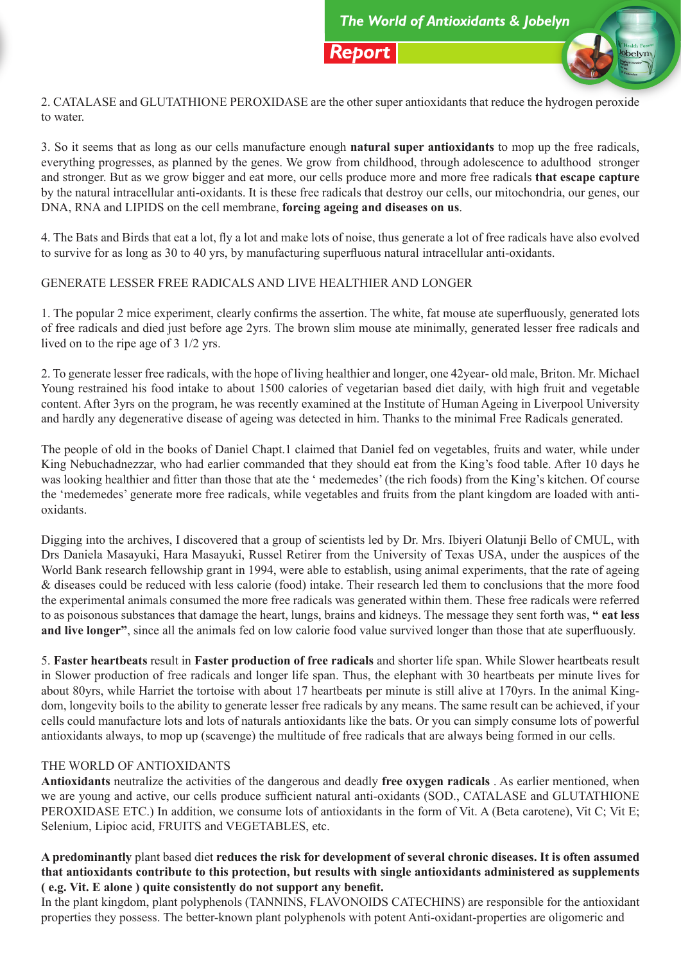

2. CATALASE and GLUTATHIONE PEROXIDASE are the other super antioxidants that reduce the hydrogen peroxide to water.

3. So it seems that as long as our cells manufacture enough **natural super antioxidants** to mop up the free radicals, everything progresses, as planned by the genes. We grow from childhood, through adolescence to adulthood stronger and stronger. But as we grow bigger and eat more, our cells produce more and more free radicals **that escape capture**  by the natural intracellular anti-oxidants. It is these free radicals that destroy our cells, our mitochondria, our genes, our DNA, RNA and LIPIDS on the cell membrane, **forcing ageing and diseases on us**.

4. The Bats and Birds that eat a lot, fly a lot and make lots of noise, thus generate a lot of free radicals have also evolved to survive for as long as 30 to 40 yrs, by manufacturing superfluous natural intracellular anti-oxidants.

# GENERATE LESSER FREE RADICALS AND LIVE HEALTHIER AND LONGER

1. The popular 2 mice experiment, clearly confirms the assertion. The white, fat mouse ate superfluously, generated lots of free radicals and died just before age 2yrs. The brown slim mouse ate minimally, generated lesser free radicals and lived on to the ripe age of 3 1/2 yrs.

2. To generate lesser free radicals, with the hope of living healthier and longer, one 42year- old male, Briton. Mr. Michael Young restrained his food intake to about 1500 calories of vegetarian based diet daily, with high fruit and vegetable content. After 3yrs on the program, he was recently examined at the Institute of Human Ageing in Liverpool University and hardly any degenerative disease of ageing was detected in him. Thanks to the minimal Free Radicals generated.

The people of old in the books of Daniel Chapt.1 claimed that Daniel fed on vegetables, fruits and water, while under King Nebuchadnezzar, who had earlier commanded that they should eat from the King's food table. After 10 days he was looking healthier and fitter than those that ate the ' medemedes' (the rich foods) from the King's kitchen. Of course the 'medemedes' generate more free radicals, while vegetables and fruits from the plant kingdom are loaded with antioxidants.

Digging into the archives, I discovered that a group of scientists led by Dr. Mrs. Ibiyeri Olatunji Bello of CMUL, with Drs Daniela Masayuki, Hara Masayuki, Russel Retirer from the University of Texas USA, under the auspices of the World Bank research fellowship grant in 1994, were able to establish, using animal experiments, that the rate of ageing & diseases could be reduced with less calorie (food) intake. Their research led them to conclusions that the more food the experimental animals consumed the more free radicals was generated within them. These free radicals were referred to as poisonous substances that damage the heart, lungs, brains and kidneys. The message they sent forth was, **" eat less and live longer"**, since all the animals fed on low calorie food value survived longer than those that ate superfluously.

5. **Faster heartbeats** result in **Faster production of free radicals** and shorter life span. While Slower heartbeats result in Slower production of free radicals and longer life span. Thus, the elephant with 30 heartbeats per minute lives for about 80yrs, while Harriet the tortoise with about 17 heartbeats per minute is still alive at 170yrs. In the animal Kingdom, longevity boils to the ability to generate lesser free radicals by any means. The same result can be achieved, if your cells could manufacture lots and lots of naturals antioxidants like the bats. Or you can simply consume lots of powerful antioxidants always, to mop up (scavenge) the multitude of free radicals that are always being formed in our cells.

## THE WORLD OF ANTIOXIDANTS

**Antioxidants** neutralize the activities of the dangerous and deadly **free oxygen radicals** . As earlier mentioned, when we are young and active, our cells produce sufficient natural anti-oxidants (SOD., CATALASE and GLUTATHIONE PEROXIDASE ETC.) In addition, we consume lots of antioxidants in the form of Vit. A (Beta carotene), Vit C; Vit E; Selenium, Lipioc acid, FRUITS and VEGETABLES, etc.

# **A predominantly** plant based diet **reduces the risk for development of several chronic diseases. It is often assumed that antioxidants contribute to this protection, but results with single antioxidants administered as supplements ( e.g. Vit. E alone ) quite consistently do not support any benefit.**

In the plant kingdom, plant polyphenols (TANNINS, FLAVONOIDS CATECHINS) are responsible for the antioxidant properties they possess. The better-known plant polyphenols with potent Anti-oxidant-properties are oligomeric and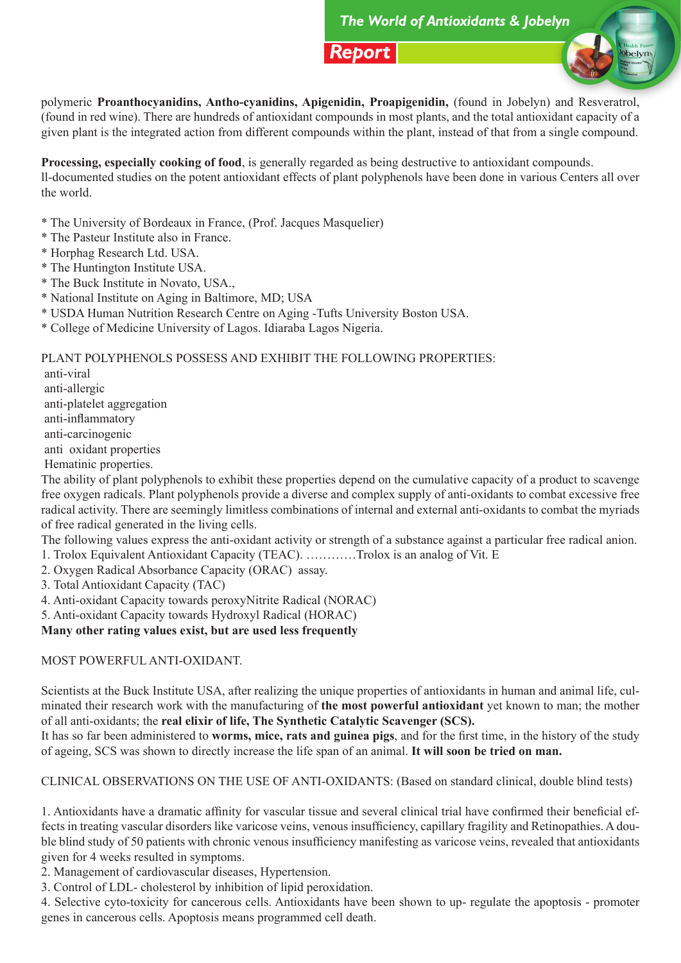

polymeric **Proanthocyanidins, Antho-cyanidins, Apigenidin, Proapigenidin,** (found in Jobelyn) and Resveratrol, (found in red wine). There are hundreds of antioxidant compounds in most plants, and the total antioxidant capacity of a given plant is the integrated action from different compounds within the plant, instead of that from a single compound.

**Processing, especially cooking of food**, is generally regarded as being destructive to antioxidant compounds. ll-documented studies on the potent antioxidant effects of plant polyphenols have been done in various Centers all over the world.

- \* The University of Bordeaux in France, (Prof. Jacques Masquelier)
- \* The Pasteur Institute also in France.
- \* Horphag Research Ltd. USA.
- \* The Huntington Institute USA.
- \* The Buck Institute in Novato, USA.,
- \* National Institute on Aging in Baltimore, MD; USA
- \* USDA Human Nutrition Research Centre on Aging -Tufts University Boston USA.
- \* College of Medicine University of Lagos. Idiaraba Lagos Nigeria.

PLANT POLYPHENOLS POSSESS AND EXHIBIT THE FOLLOWING PROPERTIES:

 anti-viral anti-allergic anti-platelet aggregation anti-inflammatory anti-carcinogenic anti oxidant properties

Hematinic properties.

The ability of plant polyphenols to exhibit these properties depend on the cumulative capacity of a product to scavenge free oxygen radicals. Plant polyphenols provide a diverse and complex supply of anti-oxidants to combat excessive free radical activity. There are seemingly limitless combinations of internal and external anti-oxidants to combat the myriads of free radical generated in the living cells.

The following values express the anti-oxidant activity or strength of a substance against a particular free radical anion.

1. Trolox Equivalent Antioxidant Capacity (TEAC). …………Trolox is an analog of Vit. E

2. Oxygen Radical Absorbance Capacity (ORAC) assay.

3. Total Antioxidant Capacity (TAC)

4. Anti-oxidant Capacity towards peroxyNitrite Radical (NORAC)

5. Anti-oxidant Capacity towards Hydroxyl Radical (HORAC)

**Many other rating values exist, but are used less frequently** 

MOST POWERFUL ANTI-OXIDANT.

Scientists at the Buck Institute USA, after realizing the unique properties of antioxidants in human and animal life, culminated their research work with the manufacturing of **the most powerful antioxidant** yet known to man; the mother of all anti-oxidants; the **real elixir of life, The Synthetic Catalytic Scavenger (SCS).**

It has so far been administered to **worms, mice, rats and guinea pigs**, and for the first time, in the history of the study of ageing, SCS was shown to directly increase the life span of an animal. **It will soon be tried on man.**

CLINICAL OBSERVATIONS ON THE USE OF ANTI-OXIDANTS: (Based on standard clinical, double blind tests)

1. Antioxidants have a dramatic affinity for vascular tissue and several clinical trial have confirmed their beneficial effects in treating vascular disorders like varicose veins, venous insufficiency, capillary fragility and Retinopathies. A double blind study of 50 patients with chronic venous insufficiency manifesting as varicose veins, revealed that antioxidants given for 4 weeks resulted in symptoms.

2. Management of cardiovascular diseases, Hypertension.

3. Control of LDL- cholesterol by inhibition of lipid peroxidation.

4. Selective cyto-toxicity for cancerous cells. Antioxidants have been shown to up- regulate the apoptosis - promoter genes in cancerous cells. Apoptosis means programmed cell death.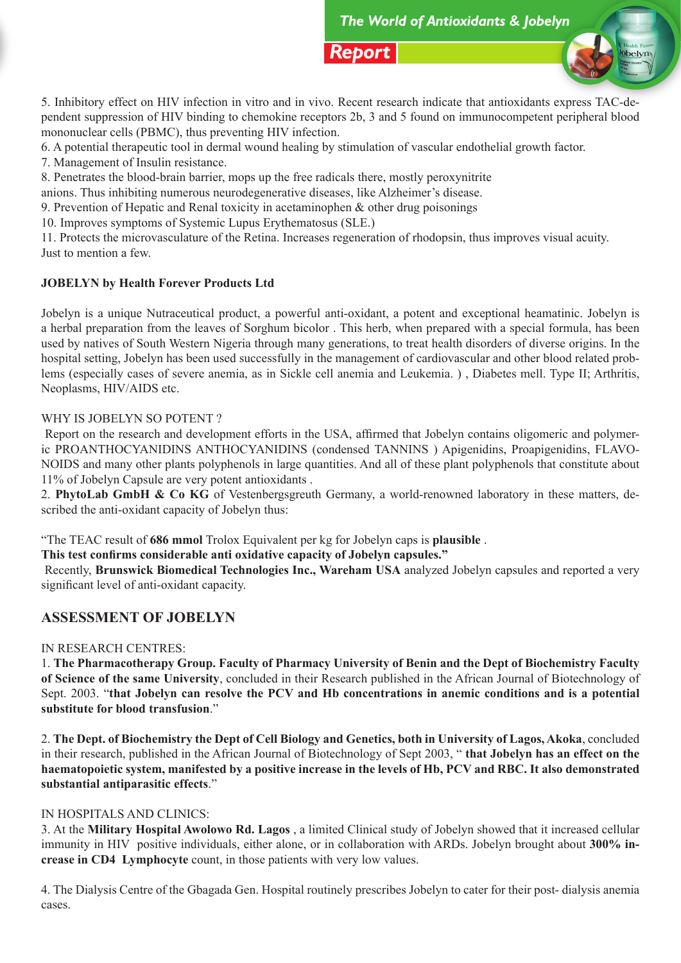

5. Inhibitory effect on HIV infection in vitro and in vivo. Recent research indicate that antioxidants express TAC-dependent suppression of HIV binding to chemokine receptors 2b, 3 and 5 found on immunocompetent peripheral blood mononuclear cells (PBMC), thus preventing HIV infection.

6. A potential therapeutic tool in dermal wound healing by stimulation of vascular endothelial growth factor.

7. Management of Insulin resistance.

8. Penetrates the blood-brain barrier, mops up the free radicals there, mostly peroxynitrite

anions. Thus inhibiting numerous neurodegenerative diseases, like Alzheimer's disease.

9. Prevention of Hepatic and Renal toxicity in acetaminophen & other drug poisonings

10. Improves symptoms of Systemic Lupus Erythematosus (SLE.)

11. Protects the microvasculature of the Retina. Increases regeneration of rhodopsin, thus improves visual acuity. Just to mention a few.

# **JOBELYN by Health Forever Products Ltd**

Jobelyn is a unique Nutraceutical product, a powerful anti-oxidant, a potent and exceptional heamatinic. Jobelyn is a herbal preparation from the leaves of Sorghum bicolor . This herb, when prepared with a special formula, has been used by natives of South Western Nigeria through many generations, to treat health disorders of diverse origins. In the hospital setting, Jobelyn has been used successfully in the management of cardiovascular and other blood related problems (especially cases of severe anemia, as in Sickle cell anemia and Leukemia. ) , Diabetes mell. Type II; Arthritis, Neoplasms, HIV/AIDS etc.

## WHY IS JOBELYN SO POTENT?

 Report on the research and development efforts in the USA, affirmed that Jobelyn contains oligomeric and polymeric PROANTHOCYANIDINS ANTHOCYANIDINS (condensed TANNINS ) Apigenidins, Proapigenidins, FLAVO-NOIDS and many other plants polyphenols in large quantities. And all of these plant polyphenols that constitute about 11% of Jobelyn Capsule are very potent antioxidants .

2. **PhytoLab GmbH & Co KG** of Vestenbergsgreuth Germany, a world-renowned laboratory in these matters, described the anti-oxidant capacity of Jobelyn thus:

"The TEAC result of **686 mmol** Trolox Equivalent per kg for Jobelyn caps is **plausible** .

**This test confirms considerable anti oxidative capacity of Jobelyn capsules."**

 Recently, **Brunswick Biomedical Technologies Inc., Wareham USA** analyzed Jobelyn capsules and reported a very significant level of anti-oxidant capacity.

# **ASSESSMENT OF JOBELYN**

## IN RESEARCH CENTRES:

1. **The Pharmacotherapy Group. Faculty of Pharmacy University of Benin and the Dept of Biochemistry Faculty of Science of the same University**, concluded in their Research published in the African Journal of Biotechnology of Sept. 2003. "**that Jobelyn can resolve the PCV and Hb concentrations in anemic conditions and is a potential substitute for blood transfusion**."

2. **The Dept. of Biochemistry the Dept of Cell Biology and Genetics, both in University of Lagos, Akoka**, concluded in their research, published in the African Journal of Biotechnology of Sept 2003, " **that Jobelyn has an effect on the haematopoietic system, manifested by a positive increase in the levels of Hb, PCV and RBC. It also demonstrated substantial antiparasitic effects**."

## IN HOSPITALS AND CLINICS:

3. At the **Military Hospital Awolowo Rd. Lagos** , a limited Clinical study of Jobelyn showed that it increased cellular immunity in HIV positive individuals, either alone, or in collaboration with ARDs. Jobelyn brought about **300% increase in CD4 Lymphocyte** count, in those patients with very low values.

4. The Dialysis Centre of the Gbagada Gen. Hospital routinely prescribes Jobelyn to cater for their post- dialysis anemia cases.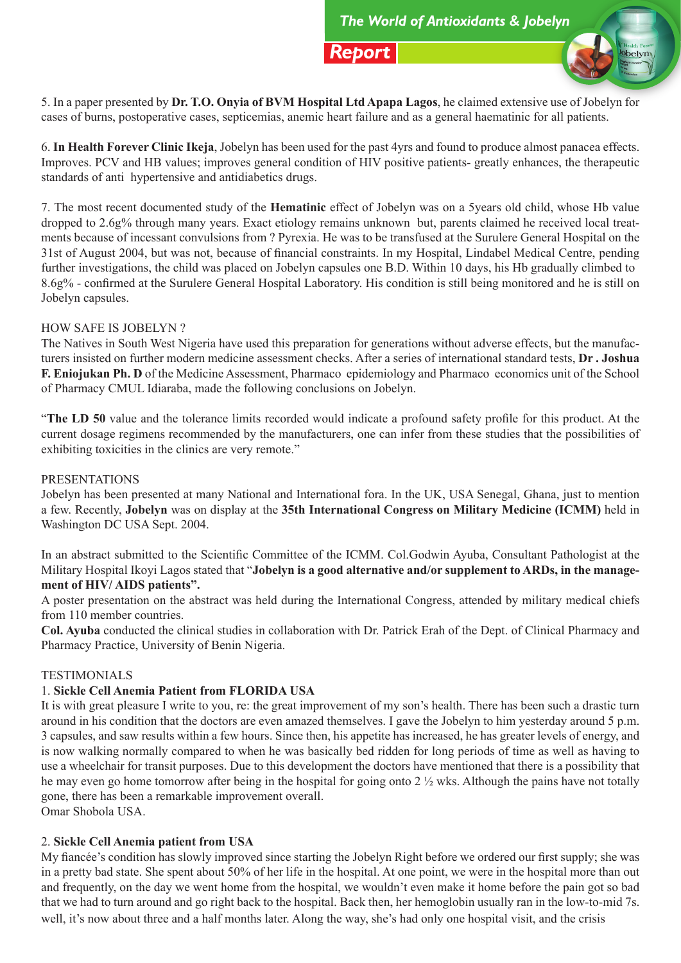

5. In a paper presented by **Dr. T.O. Onyia of BVM Hospital Ltd Apapa Lagos**, he claimed extensive use of Jobelyn for cases of burns, postoperative cases, septicemias, anemic heart failure and as a general haematinic for all patients.

6. **In Health Forever Clinic Ikeja**, Jobelyn has been used for the past 4yrs and found to produce almost panacea effects. Improves. PCV and HB values; improves general condition of HIV positive patients- greatly enhances, the therapeutic standards of anti hypertensive and antidiabetics drugs.

7. The most recent documented study of the **Hematinic** effect of Jobelyn was on a 5years old child, whose Hb value dropped to 2.6g% through many years. Exact etiology remains unknown but, parents claimed he received local treatments because of incessant convulsions from ? Pyrexia. He was to be transfused at the Surulere General Hospital on the 31st of August 2004, but was not, because of financial constraints. In my Hospital, Lindabel Medical Centre, pending further investigations, the child was placed on Jobelyn capsules one B.D. Within 10 days, his Hb gradually climbed to 8.6g% - confirmed at the Surulere General Hospital Laboratory. His condition is still being monitored and he is still on Jobelyn capsules.

## HOW SAFE IS JOBELYN ?

The Natives in South West Nigeria have used this preparation for generations without adverse effects, but the manufacturers insisted on further modern medicine assessment checks. After a series of international standard tests, **Dr . Joshua F. Eniojukan Ph. D** of the Medicine Assessment, Pharmaco epidemiology and Pharmaco economics unit of the School of Pharmacy CMUL Idiaraba, made the following conclusions on Jobelyn.

"**The LD 50** value and the tolerance limits recorded would indicate a profound safety profile for this product. At the current dosage regimens recommended by the manufacturers, one can infer from these studies that the possibilities of exhibiting toxicities in the clinics are very remote."

#### PRESENTATIONS

Jobelyn has been presented at many National and International fora. In the UK, USA Senegal, Ghana, just to mention a few. Recently, **Jobelyn** was on display at the **35th International Congress on Military Medicine (ICMM)** held in Washington DC USA Sept. 2004.

In an abstract submitted to the Scientific Committee of the ICMM. Col.Godwin Ayuba, Consultant Pathologist at the Military Hospital Ikoyi Lagos stated that "**Jobelyn is a good alternative and/or supplement to ARDs, in the management of HIV/ AIDS patients".** 

A poster presentation on the abstract was held during the International Congress, attended by military medical chiefs from 110 member countries.

**Col. Ayuba** conducted the clinical studies in collaboration with Dr. Patrick Erah of the Dept. of Clinical Pharmacy and Pharmacy Practice, University of Benin Nigeria.

#### **TESTIMONIALS**

## 1. **Sickle Cell Anemia Patient from FLORIDA USA**

It is with great pleasure I write to you, re: the great improvement of my son's health. There has been such a drastic turn around in his condition that the doctors are even amazed themselves. I gave the Jobelyn to him yesterday around 5 p.m. 3 capsules, and saw results within a few hours. Since then, his appetite has increased, he has greater levels of energy, and is now walking normally compared to when he was basically bed ridden for long periods of time as well as having to use a wheelchair for transit purposes. Due to this development the doctors have mentioned that there is a possibility that he may even go home tomorrow after being in the hospital for going onto 2 ½ wks. Although the pains have not totally gone, there has been a remarkable improvement overall.

Omar Shobola USA.

#### 2. **Sickle Cell Anemia patient from USA**

My fiancée's condition has slowly improved since starting the Jobelyn Right before we ordered our first supply; she was in a pretty bad state. She spent about 50% of her life in the hospital. At one point, we were in the hospital more than out and frequently, on the day we went home from the hospital, we wouldn't even make it home before the pain got so bad that we had to turn around and go right back to the hospital. Back then, her hemoglobin usually ran in the low-to-mid 7s. well, it's now about three and a half months later. Along the way, she's had only one hospital visit, and the crisis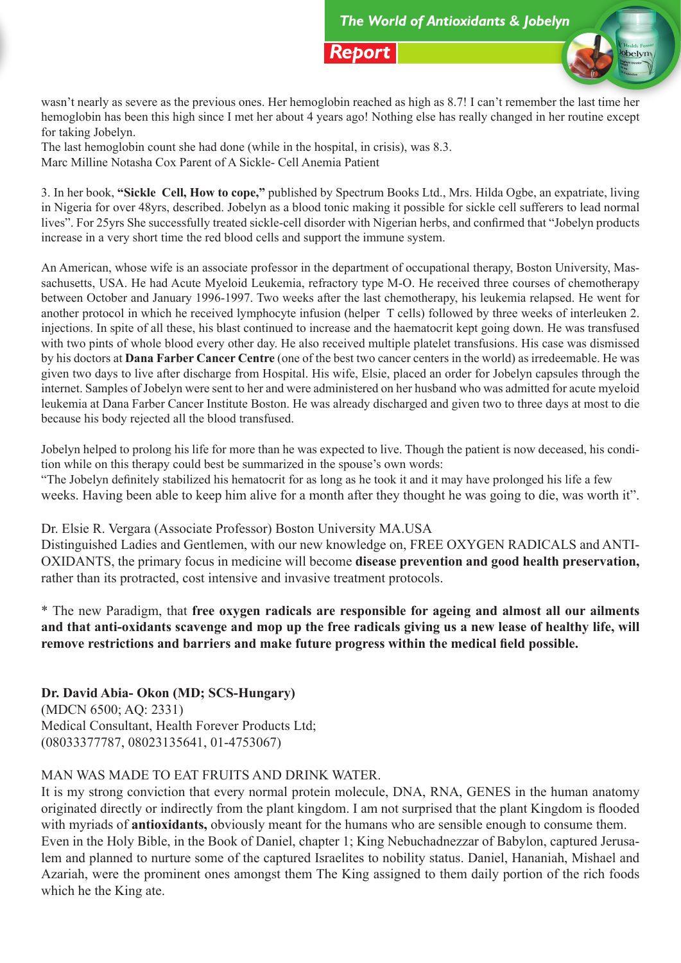

wasn't nearly as severe as the previous ones. Her hemoglobin reached as high as 8.7! I can't remember the last time her hemoglobin has been this high since I met her about 4 years ago! Nothing else has really changed in her routine except for taking Jobelyn.

The last hemoglobin count she had done (while in the hospital, in crisis), was 8.3. Marc Milline Notasha Cox Parent of A Sickle- Cell Anemia Patient

3. In her book, **"Sickle Cell, How to cope,"** published by Spectrum Books Ltd., Mrs. Hilda Ogbe, an expatriate, living in Nigeria for over 48yrs, described. Jobelyn as a blood tonic making it possible for sickle cell sufferers to lead normal lives". For 25yrs She successfully treated sickle-cell disorder with Nigerian herbs, and confirmed that "Jobelyn products increase in a very short time the red blood cells and support the immune system.

An American, whose wife is an associate professor in the department of occupational therapy, Boston University, Massachusetts, USA. He had Acute Myeloid Leukemia, refractory type M-O. He received three courses of chemotherapy between October and January 1996-1997. Two weeks after the last chemotherapy, his leukemia relapsed. He went for another protocol in which he received lymphocyte infusion (helper T cells) followed by three weeks of interleuken 2. injections. In spite of all these, his blast continued to increase and the haematocrit kept going down. He was transfused with two pints of whole blood every other day. He also received multiple platelet transfusions. His case was dismissed by his doctors at **Dana Farber Cancer Centre** (one of the best two cancer centers in the world) as irredeemable. He was given two days to live after discharge from Hospital. His wife, Elsie, placed an order for Jobelyn capsules through the internet. Samples of Jobelyn were sent to her and were administered on her husband who was admitted for acute myeloid leukemia at Dana Farber Cancer Institute Boston. He was already discharged and given two to three days at most to die because his body rejected all the blood transfused.

Jobelyn helped to prolong his life for more than he was expected to live. Though the patient is now deceased, his condition while on this therapy could best be summarized in the spouse's own words: "The Jobelyn definitely stabilized his hematocrit for as long as he took it and it may have prolonged his life a few weeks. Having been able to keep him alive for a month after they thought he was going to die, was worth it".

Dr. Elsie R. Vergara (Associate Professor) Boston University MA.USA

Distinguished Ladies and Gentlemen, with our new knowledge on, FREE OXYGEN RADICALS and ANTI-OXIDANTS, the primary focus in medicine will become **disease prevention and good health preservation,**  rather than its protracted, cost intensive and invasive treatment protocols.

\* The new Paradigm, that **free oxygen radicals are responsible for ageing and almost all our ailments and that anti-oxidants scavenge and mop up the free radicals giving us a new lease of healthy life, will remove restrictions and barriers and make future progress within the medical field possible.** 

**Dr. David Abia- Okon (MD; SCS-Hungary)**  (MDCN 6500; AQ: 2331) Medical Consultant, Health Forever Products Ltd; (08033377787, 08023135641, 01-4753067)

# MAN WAS MADE TO EAT FRUITS AND DRINK WATER.

It is my strong conviction that every normal protein molecule, DNA, RNA, GENES in the human anatomy originated directly or indirectly from the plant kingdom. I am not surprised that the plant Kingdom is flooded with myriads of **antioxidants,** obviously meant for the humans who are sensible enough to consume them. Even in the Holy Bible, in the Book of Daniel, chapter 1; King Nebuchadnezzar of Babylon, captured Jerusalem and planned to nurture some of the captured Israelites to nobility status. Daniel, Hananiah, Mishael and Azariah, were the prominent ones amongst them The King assigned to them daily portion of the rich foods which he the King ate.